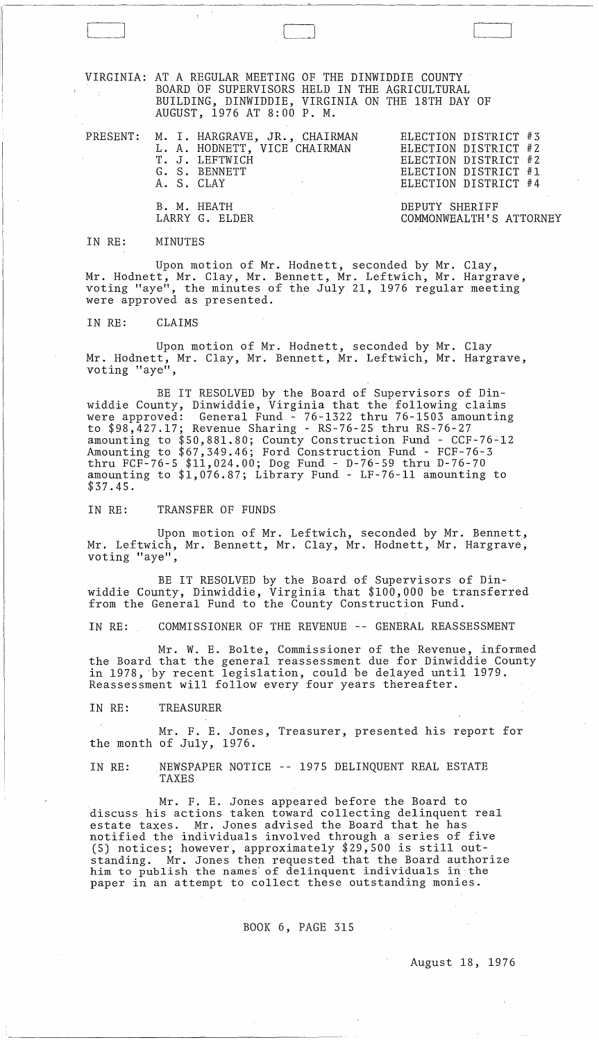VIRGINIA: AT A REGULAR MEETING OF THE DINWIDDIE COUNTY BOARD OF SUPERVISORS HELD IN THE AGRICULTURAL BUILDING, DINWIDDIE, VIRGINIA ON THE 18TH DAY OF AUGUST, 1976 AT 8:00 P. M.

PRESENT: M. I. HARGRAVE, JR., CHAIRMAN L. A. HODNETT, VICE CHAIRMAN T. J. LEFTWICH ELECTION DISTRICT #3 ELECTION DISTRICT #2 ELECTION DISTRICT #2 ELECTION DISTRICT #1 ELECTION DISTRICT #4 G. S. BENNETT A. S. CLAY B. M. HEATH LARRY G. ELDER DEPUTY SHERIFF COMMONWEALTH'S ATTORNEY

IN RE: MINUTES

Upon motion of Mr. Hodnett, seconded by Mr. Clay, Mr. Hodnett, Mr. Clay, Mr. Bennett, Mr. Leftwich, Mr. Hargrave, voting "aye", the minutes of the July 21, 1976 regular meeting were approved as presented. .

IN RE: CLAIMS

Upon motion of Mr. Hodnett, seconded by Mr. Clay Mr. Hodnett, Mr. Clay, Mr. Bennett, Mr. Leftwich, Mr. Hargrave, voting "aye",

BE IT RESOLVED by the Board of Supervisors of Dinwiddie County, Dinwiddie, Virginia that the following claims were approved: General Fund - 76-1322 thru 76-1503 amounting to \$98,427.17; Revenue Sharing - RS-76-25 thru RS-76-27 amounting to \$50,881.80; County Construction Fund - CCF-76~12 Amounting to \$67,349.46; Ford Construction Fund - FCF-76-3 thru FCF-76-5 \$11,024.00; Dog Fund - D-76-59 thru D-76-70 amounting to \$1,076.87; Library Fund - LF-76-ll amounting to \$37.45.

IN RE: TRANSFER OF FUNDS

Upon motion of Mr. Leftwich, seconded by Mr. Bennett, Mr. Leftwich, Mr. Bennett, Mr. Clay, Mr. Hodnett, Mr. Hargrave, voting "aye",

BE IT RESOLVED by the Board of Supervisors of Dinwiddie County, Dinwiddie, Virginia that \$100,000 be transferred from the General Fund to the County Construction Fund.

IN RE: COMMISSIONER OF THE REVENUE -- GENERAL REASSESSMENT

Mr. W. E. Bolte, Commissioner of the Revenue, informed the Board that the general reassessment due for Dinwiddie County in 1978, by recent legislation, could be delayed until 1979. Reassessment will follow every four years thereafter.

IN RE: TREASURER

Mr. F. E. Jones, Treasurer, presented his report for the month of July, 1976.

IN RE: NEWSPAPER NOTICE -- 1975 DELINQUENT REAL ESTATE TAXES

Mr. F. E. Jones appeared before the Board to discuss his actions taken toward collecting delinquent real estate taxes. Mr. Jones advised the Board that he has notified the individuals involved through a series of five (5) notices; however, approximately \$29,500 is still outstanding. Mr. Jones then requested that the Board authorize him to publish the names' of delinquent individuals in the paper in an attempt to collect these outstanding monies.

BOOK 6, PAGE 315

August 18, 1976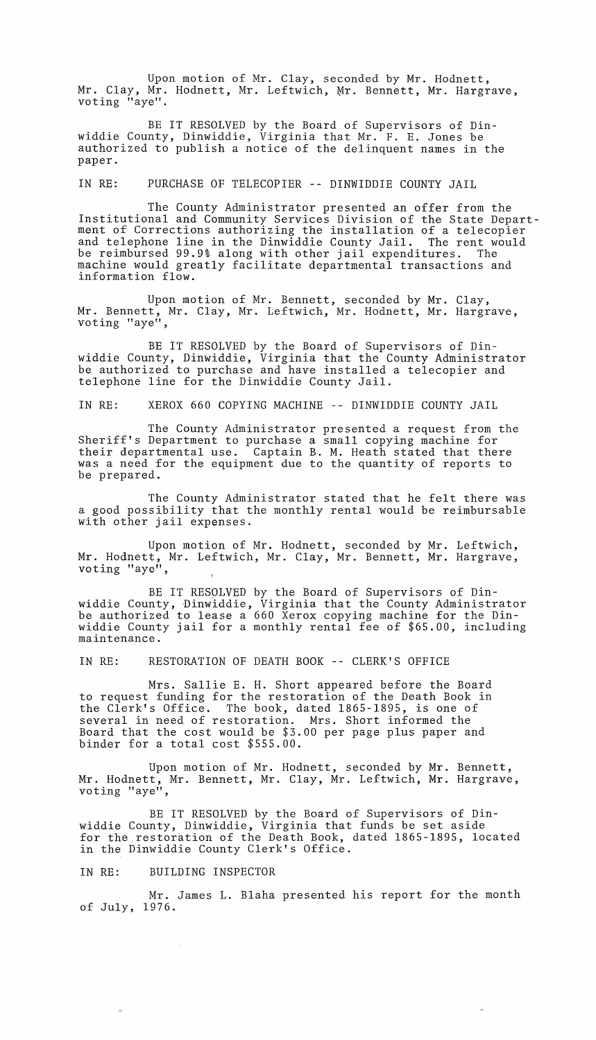Upon motion of Mr. Clay, seconded by Mr. Hodnett, Mr. Clay, Mr. Hodnett, Mr. Leftwich, Mr. Bennett, Mr. Hargrave, voting "aye".

BE IT RESOLVED by the Board of Supervisors of Dinwiddie County, Dinwiddie, Virginia that Mr. F. E. Jones be authorized to publish a notice of the delinquent names in the paper.

IN RE: PURCHASE OF TELECOPIER -- DINWIDDIE COUNTY JAIL

The County Administrator presented an offer from the Institutional and Community Services Division of the State Department of Corrections authorizing the installation of a telecopier and telephone line in the Dinwiddie County Jail. The rent would<br>be reimbursed 99.9% along with other jail expenditures. The be reimbursed 99.9% along with other jail expenditures. machine would greatly facilitate departmental transactions and information flow.

Upon motion of Mr. Bennett, seconded by Mr. Clay, Mr. Bennett, Mr. Clay, Mr. Leftwich, Mr. Hodnett, Mr. Hargrave, voting "aye",

BE IT RESOLVED by the Board of Supervisors of Dinwiddie County, Dinwiddie, Virginia that the County Administrator be authorized to purchase and have installed a telecopier and telephone line for the Dinwiddie County Jail.

IN RE: XEROX 660 COPYING MACHINE -- DINWIDDIE COUNTY JAIL

The County Administrator presented a request from the Sheriff's Department to purchase a small copying machine for their departmental use. Captain B. M. Heath stated that there was a need for the equipment due to the quantity of reports to be prepared.

The County Administrator stated that he felt there was a good possibility that the monthly rental would be reimbursable with other jail expenses.

Upon motion of Mr. Hodnett, seconded by Mr. Leftwich, Mr. Hodnett, Mr. Leftwich, Mr. Clay, Mr. Bennett, Mr. Hargrave, voting "aye",

BE IT RESOLVED by the Board of Supervisors of Dinwiddie County, Dinwiddie, Virginia that the County Administrator be authorized to lease a 660 Xerox copying machine for the Dinwiddie County jail for a monthly rental fee of \$65.00, including maintenance.

IN RE: RESTORATION OF DEATH BOOK -- CLERK'S OFFICE

Mrs. Sallie E. H. Short appeared before the Board to request funding for the restoration of the Death Book in the Clerk's Office. The book, dated 1865-1895, is one of several in need of restoration. Mrs. Short informed the Board that the cost would be \$3.00 per page plus paper and binder for a total cost \$555.00.

Upon motion of Mr. Hodnett, seconded by Mr. Bennett, Mr. Hodnett, Mr. Bennett, Mr. Clay, Mr. Leftwich, Mr. Hargrave, voting "aye",

BE IT RESOLVED by the Board of Supervisors of Dinwiddie County, Dinwiddie, Virginia that funds be set aside for the restoration of the Death Book, dated 1865-1895, located in the Dinwiddie County Clerk's Office.

IN RE: BUILDING INSPECTOR

 $\sim 10^7$ 

Mr. James L. Blaha presented his report for the month of July, 1976.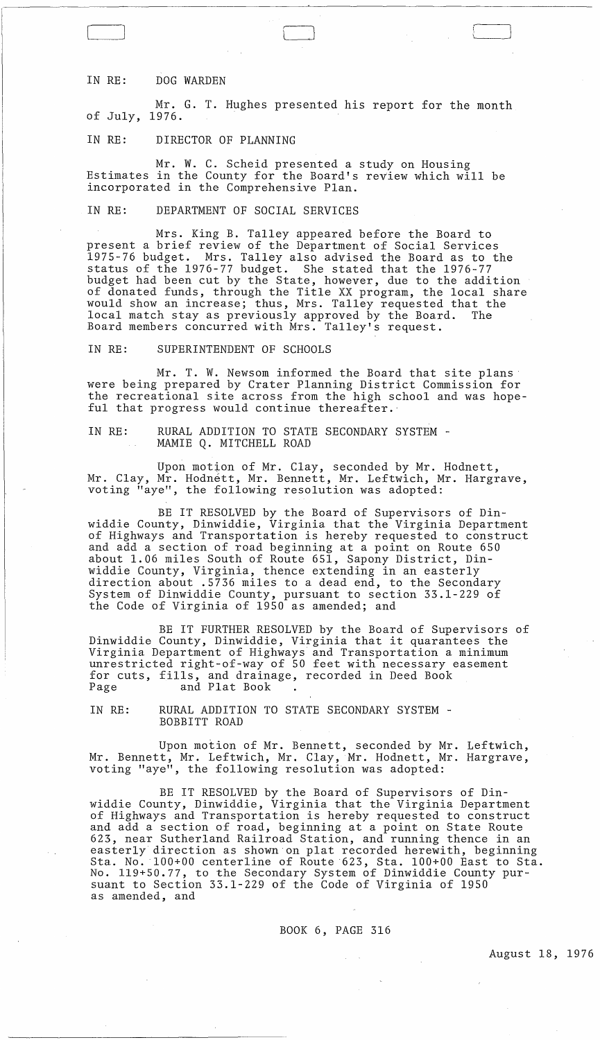## IN RE: DOG WARDEN

Mr. G. T. Hughes presented his report for the month of July, 1976.

# IN RE: DIRECTOR OF PLANNING

Mr. W. C. Scheid presented a study on Housing Estimates in the County for the Board's review which will be incorporated in the Comprehensive Plan.

IN RE: DEPARTMENT OF SOCIAL SERVICES

Mrs. King B. Talley appeared before the Board to present a brief review of the Department of Social Services 1975-76 budget. Mrs. Talley also advised the Board as to the status of the 1976-77 budget. She stated that the 1976-77 budget had been cut by the State, however, due to the addition of donated funds, through the Title XX program, the local share would show an increase; thus, Mrs. Talley requested that the local match stay as previously approved by the Board. The Board members concurred with Mrs. Talley's request.

IN RE: SUPERINTENDENT OF SCHOOLS

Mr. T. W. Newsom informed the Board that site plans' were being prepared by Crater Planning District Commission for the recreational site across from the high school and was hopeful that progress would continue thereafter.'

IN RE: RURAL ADDITION TO STATE SECONDARY SYSTEM - MAMIE Q. MITCHELL ROAD

Upon motion of Mr. Clay, seconded by Mr. Hodnett, Mr. Clay, Mr. Hodnett, Mr. Bennett, Mr. Leftwich, Mr. Hargrave, voting "aye", the following resolution was adopted:

BE IT RESOLVED by the Board of Supervisors of Dinwiddie County, Dinwiddie, Virginia that the Virginia Department of Highways and Transportation is hereby requested to construct and add a section of road beginning at a point on Route 650 about 1.06 miles South of Route 651, Sapony District, Dinwiddie County, Virginia, thence extending in an easterly direction about .5736 miles to a dead end, to the Secondary System of Dinwiddie County, pursuant to section 33.1-229 of the Code of Virginia of 1950 as amended; and

BE IT FURTHER RESOLVED by the Board of Supervisors of Dinwiddie County, Dinwiddie, Virginia that it quarantees the Virginia Department of Highways and Transportation a minimum unrestricted right-of-way of 50 feet with necessary easement antescricted right of way of 30 feet with necessary. Page and Plat Book

IN RE: RURAL ADDITION TO STATE SECONDARY SYSTEM -<br>BOBBITT ROAD

Upon motion of Mr. Bennett, seconded by Mr. Leftwich, Mr. Bennett, Mr. Leftwich, Mr. Clay, Mr. Hodnett, Mr. Hargrave, voting "aye", the following resolution was adopted:

BE IT RESOLVED by the Board of Supervisors of Dinwiddie County, Dinwiddie, Virginia that the Virginia Department of Highways and Transportation is hereby requested to construct and add a section of road, beginning at a point on State Route 623, near Sutherland Railroad Station, and running thence in an easterly direction as shown on plat recorded herewith, beginning Sta. No. 100+00 centerline of Route 623, Sta. 100+00 East to Sta. No. 119+50.77, to the Secondary System of Dinwiddie County pursuant to Section 33.1-229 of the Code of Virginia of 1950 as amended, and

BOOK 6, PAGE 316

 $\sim$   $\sim$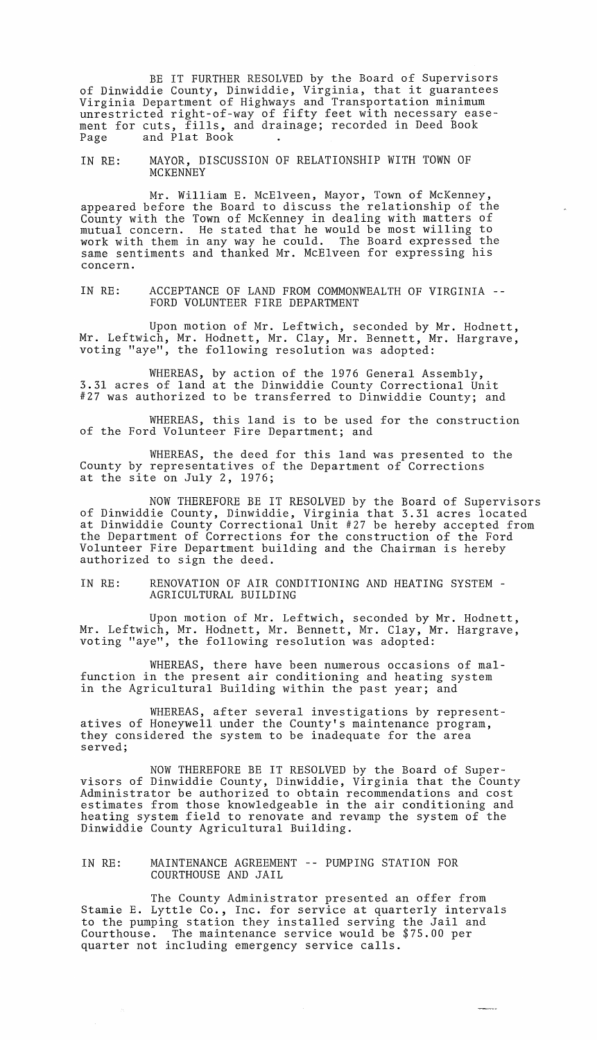BE IT FURTHER RESOLVED by the Board of Supervisors of Dinwiddie County, Dinwiddie, Virginia, that it guarantees Virginia Department of Highways and Transportation minimum unrestricted right-of-way of fifty feet with necessary easement for cuts, fills, and drainage; recorded in Deed Book<br>Page and Plat Book . and Plat Book

IN RE: MAYOR, DISCUSSION OF RELATIONSHIP WITH TOWN OF MCKENNEY

Mr. William E. McElveen, Mayor, Town of McKenney, appeared before the Board to discuss the relationship of the County with the Town of McKenney in dealing with matters of mutual concern. He stated that he would be most willing to work with them in any way he could. The Board expressed the same sentiments and thanked Mr. McElveen for expressing his concern.

IN RE: ACCEPTANCE OF LAND FROM COMMONWEALTH OF VIRGINIA -- FORD VOLUNTEER FIRE DEPARTMENT

Upon motion of Mr. Leftwich, seconded by Mr. Hodnett, Mr. Leftwich, Mr. Hodnett, Mr. Clay, Mr. Bennett, Mr. Hargrave, voting "aye", the following resolution was adopted:

WHEREAS, by action of the 1976 General Assembly, 3.31 acres of land at the Dinwiddie County Correctional Unit #27 was authorized to be transferred to Dinwiddie County; and

WHEREAS, this land is to be used for the construction of the Ford Volunteer Fire Department; and

WHEREAS, the deed for this land was presented to the County by representatives of the Department of Corrections at the site on July 2, 1976;

NOW THEREFORE BE IT RESOLVED by the Board of Supervisors of Dinwiddie County, Dinwiddie, Virginia that 3.31 acres located at Dinwiddie County Correctional Unit #27 be hereby accepted from the Department of Corrections for the construction of the Ford Volunteer Fire Department building and the Chairman is hereby authorized to sign the deed.

IN RE: RENOVATION OF AIR CONDITIONING AND HEATING SYSTEM - AGRICULTURAL BUILDING

Upon motion of Mr. Leftwich, seconded by Mr. Hodnett, Mr. Leftwich, Mr. Hodnett, Mr. Bennett, Mr. Clay, Mr. Hargrave, voting "aye", the following resolution was adopted:

WHEREAS, there have been numerous occasions of malfunction in the present air conditioning and heating system in the Agricultural Building within the past year; and

WHEREAS, after several investigations by representatives of Honeywell under the County's maintenance program, they considered the system to be inadequate for the area served;

NOW THEREFORE BE IT RESOLVED by the Board of Supervisors of Dinwiddie County, Dinwiddie, Virginia that the County Administrator be authorized to obtain recommendations and cost estimates from those knowledgeable in the air conditioning and heating system field to renovate and revamp the system of the Dinwiddie County Agricultural Building.

IN RE: MAINTENANCE AGREEMENT -- PUMPING STATION FOR COURTHOUSE AND JAIL

The County Administrator presented an offer from Stamie E. Lyttle Co., Inc. for service at quarterly intervals to the pumping station they installed serving the Jail and Courthouse. The maintenance service would be \$75.00 per quarter not including emergency service calls.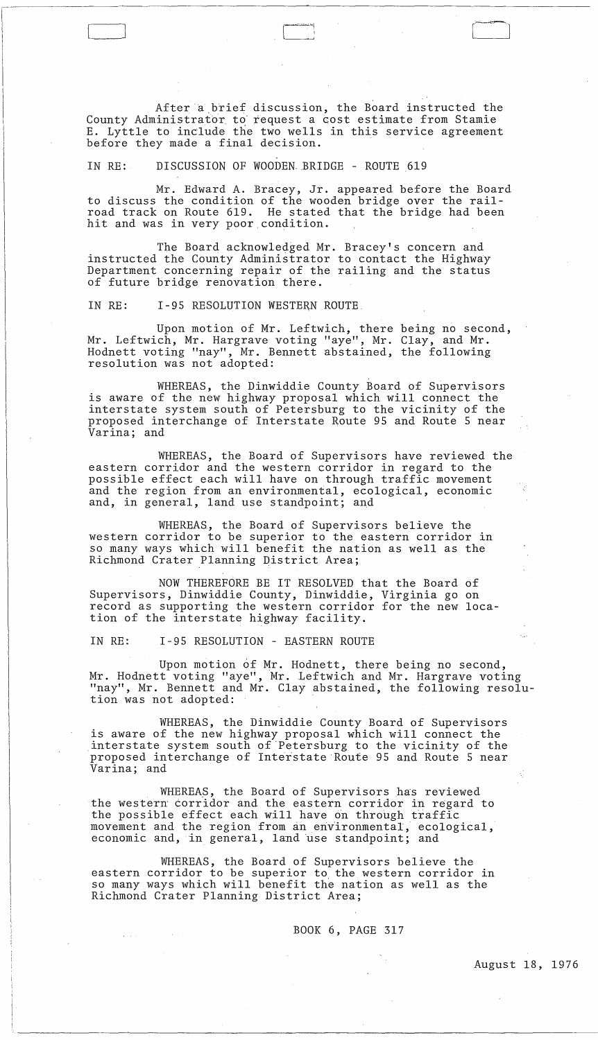After a brief discussion, the Board instructed the County Administrator to request a cost estimate from Stamie E. Lyttle to include the two wells in this service agreement before they made a final decision.

 $\Box$ 

#### IN RE: DISCUSSION OF WOODEN-BRIDGE - ROUTE 619

Mr. Edward A. Bracey, Jr. appeared before the Board to discuss the condition of the wooden bridge over the railroad track on Route 619. He stated that the bridge had been hit and was in very poor condition.

The Board acknowledged Mr. Bracey's concern and instructed the County Administrator to contact the Highway Department concerning repair of the railing and the status of future bridge renovation there.

IN RE: 1-95 RESOLUTION WESTERN ROUTE.

Upon motion of Mr. Leftwich, there being no second, Mr. Leftwich, Mr. Hargrave voting "aye", Mr. Clay, and Mr. Hodnett voting "nay", Mr. Bennett abstained, the following resolution was not adopted:

WHEREAS, the Dinwiddie County Board of Supervisors is aware of the new highway proposal which will connect the interstate system south of Petersburg to the vicinity of the proposed interchange of Interstate Route 95 and Route 5 near Varina; and

WHEREAS, the Board of Supervisors have reviewed the eastern corridor and the western corridor in regard to the possible effect each will have on through traffic movement and the region from an environmental, ecological, economic and, in general, land use standpoint; and

WHEREAS, the Board of Supervisors believe the western corridor to be superior to the eastern corridor in so many ways which will benefit the nation as well as the Richmond Crater Planning District Area;

NOW THEREFORE BE IT RESOLVED that the Board of Supervisors, Dinwiddie County, Dinwiddie, Virginia go on record as supporting the western corridor for the new location of the interstate highway facility.

IN RE: 1-95 RESOLUTION - EASTERN ROUTE

 $\mathcal{L}(\mathbf{z},\mathbf{z},\mathbf{z})$  , where  $\mathcal{L}(\mathbf{z},\mathbf{z})$ 

Upon motion of Mr. Hodnett, there being no second, Mr. Hodnett voting "aye", Mr. Leftwich and Mr. Hargrave voting "nay", Mr. Bennett and Mr. Clay abstained, the following resolution was not adopted:

WHEREAS, the Dinwiddie County Board of Supervisors is aware of the new highway proposal which will connect the interstate system south of "Petersburg to the vicinity of the proposed interchange of Interstate Route 95 and Route 5 near Varina; and

WHEREAS, the Board of Supervisors has reviewed the western corridor and the eastern corridor in regard to the possible effect each will have On through traffic movement and the region from an environmental, ecological, economic and, in general, land use standpoint; and

WHEREAS, the Board of Supervisors believe the eastern corridor to be superior to the western corridor in so many ways which will benefit the nation as well as the Richmond Crater Planning District Area;

BOOK 6, PAGE 317

 $\sim 10^{-11}$